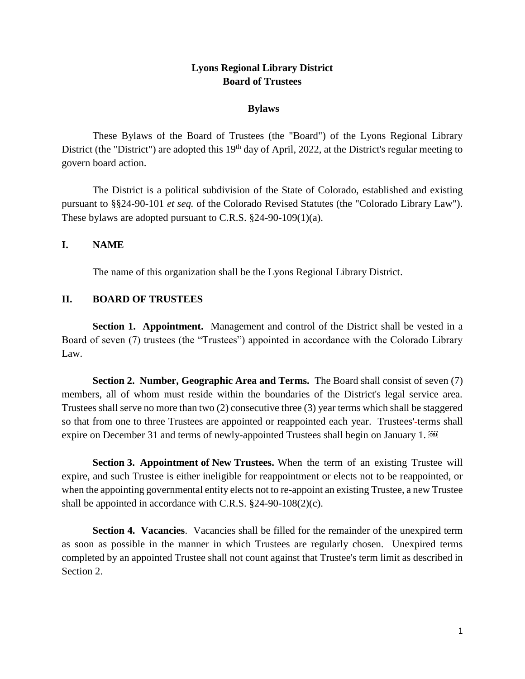# **Lyons Regional Library District Board of Trustees**

### **Bylaws**

These Bylaws of the Board of Trustees (the "Board") of the Lyons Regional Library District (the "District") are adopted this 19<sup>th</sup> day of April, 2022, at the District's regular meeting to govern board action.

The District is a political subdivision of the State of Colorado, established and existing pursuant to §§24-90-101 *et seq.* of the Colorado Revised Statutes (the "Colorado Library Law"). These bylaws are adopted pursuant to C.R.S. §24-90-109(1)(a).

## **I. NAME**

The name of this organization shall be the Lyons Regional Library District.

## **II. BOARD OF TRUSTEES**

**Section 1. Appointment.** Management and control of the District shall be vested in a Board of seven (7) trustees (the "Trustees") appointed in accordance with the Colorado Library Law.

**Section 2. Number, Geographic Area and Terms.** The Board shall consist of seven (7) members, all of whom must reside within the boundaries of the District's legal service area. Trustees shall serve no more than two (2) consecutive three (3) year terms which shall be staggered so that from one to three Trustees are appointed or reappointed each year. Trustees'-terms shall expire on December 31 and terms of newly-appointed Trustees shall begin on January 1.

**Section 3. Appointment of New Trustees.** When the term of an existing Trustee will expire, and such Trustee is either ineligible for reappointment or elects not to be reappointed, or when the appointing governmental entity elects not to re-appoint an existing Trustee, a new Trustee shall be appointed in accordance with C.R.S. §24-90-108(2)(c).

**Section 4. Vacancies**.Vacancies shall be filled for the remainder of the unexpired term as soon as possible in the manner in which Trustees are regularly chosen. Unexpired terms completed by an appointed Trustee shall not count against that Trustee's term limit as described in Section 2.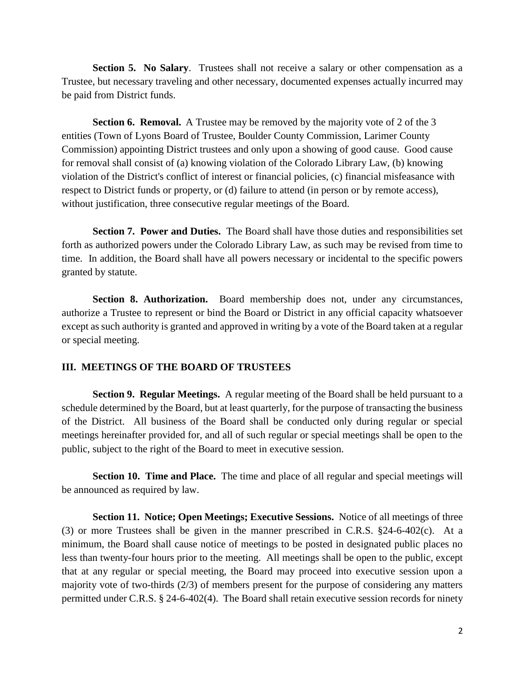**Section 5. No Salary.** Trustees shall not receive a salary or other compensation as a Trustee, but necessary traveling and other necessary, documented expenses actually incurred may be paid from District funds.

**Section 6. Removal.** A Trustee may be removed by the majority vote of 2 of the 3 entities (Town of Lyons Board of Trustee, Boulder County Commission, Larimer County Commission) appointing District trustees and only upon a showing of good cause. Good cause for removal shall consist of (a) knowing violation of the Colorado Library Law, (b) knowing violation of the District's conflict of interest or financial policies, (c) financial misfeasance with respect to District funds or property, or (d) failure to attend (in person or by remote access), without justification, three consecutive regular meetings of the Board.

**Section 7. Power and Duties.** The Board shall have those duties and responsibilities set forth as authorized powers under the Colorado Library Law, as such may be revised from time to time. In addition, the Board shall have all powers necessary or incidental to the specific powers granted by statute.

**Section 8. Authorization.** Board membership does not, under any circumstances, authorize a Trustee to represent or bind the Board or District in any official capacity whatsoever except as such authority is granted and approved in writing by a vote of the Board taken at a regular or special meeting.

### **III. MEETINGS OF THE BOARD OF TRUSTEES**

**Section 9. Regular Meetings.** A regular meeting of the Board shall be held pursuant to a schedule determined by the Board, but at least quarterly, for the purpose of transacting the business of the District. All business of the Board shall be conducted only during regular or special meetings hereinafter provided for, and all of such regular or special meetings shall be open to the public, subject to the right of the Board to meet in executive session.

**Section 10. Time and Place.** The time and place of all regular and special meetings will be announced as required by law.

**Section 11. Notice; Open Meetings; Executive Sessions.** Notice of all meetings of three (3) or more Trustees shall be given in the manner prescribed in C.R.S. §24-6-402(c). At a minimum, the Board shall cause notice of meetings to be posted in designated public places no less than twenty-four hours prior to the meeting. All meetings shall be open to the public, except that at any regular or special meeting, the Board may proceed into executive session upon a majority vote of two-thirds (2/3) of members present for the purpose of considering any matters permitted under C.R.S. § 24-6-402(4). The Board shall retain executive session records for ninety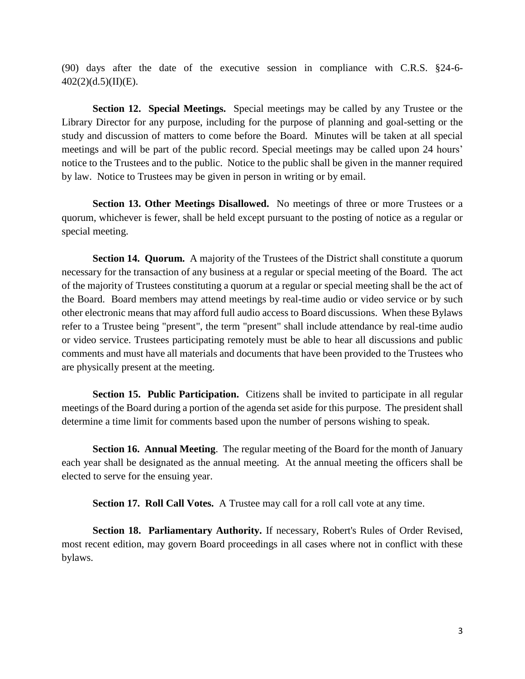(90) days after the date of the executive session in compliance with C.R.S. §24-6-  $402(2)(d.5)(II)(E).$ 

**Section 12. Special Meetings.** Special meetings may be called by any Trustee or the Library Director for any purpose, including for the purpose of planning and goal-setting or the study and discussion of matters to come before the Board. Minutes will be taken at all special meetings and will be part of the public record. Special meetings may be called upon 24 hours' notice to the Trustees and to the public. Notice to the public shall be given in the manner required by law. Notice to Trustees may be given in person in writing or by email.

**Section 13. Other Meetings Disallowed.** No meetings of three or more Trustees or a quorum, whichever is fewer, shall be held except pursuant to the posting of notice as a regular or special meeting.

**Section 14. Quorum.** A majority of the Trustees of the District shall constitute a quorum necessary for the transaction of any business at a regular or special meeting of the Board. The act of the majority of Trustees constituting a quorum at a regular or special meeting shall be the act of the Board. Board members may attend meetings by real-time audio or video service or by such other electronic means that may afford full audio access to Board discussions. When these Bylaws refer to a Trustee being "present", the term "present" shall include attendance by real-time audio or video service. Trustees participating remotely must be able to hear all discussions and public comments and must have all materials and documents that have been provided to the Trustees who are physically present at the meeting.

**Section 15. Public Participation.** Citizens shall be invited to participate in all regular meetings of the Board during a portion of the agenda set aside for this purpose. The president shall determine a time limit for comments based upon the number of persons wishing to speak.

**Section 16. Annual Meeting**. The regular meeting of the Board for the month of January each year shall be designated as the annual meeting. At the annual meeting the officers shall be elected to serve for the ensuing year.

**Section 17. Roll Call Votes.** A Trustee may call for a roll call vote at any time.

**Section 18. Parliamentary Authority.** If necessary, Robert's Rules of Order Revised, most recent edition, may govern Board proceedings in all cases where not in conflict with these bylaws.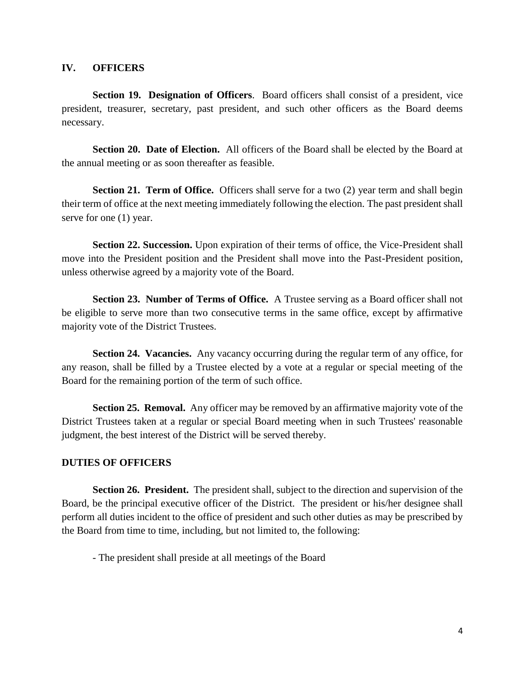### **IV. OFFICERS**

**Section 19. Designation of Officers**. Board officers shall consist of a president, vice president, treasurer, secretary, past president, and such other officers as the Board deems necessary.

Section 20. Date of Election. All officers of the Board shall be elected by the Board at the annual meeting or as soon thereafter as feasible.

**Section 21. Term of Office.** Officers shall serve for a two (2) year term and shall begin their term of office at the next meeting immediately following the election. The past president shall serve for one (1) year.

**Section 22. Succession.** Upon expiration of their terms of office, the Vice-President shall move into the President position and the President shall move into the Past-President position, unless otherwise agreed by a majority vote of the Board.

**Section 23. Number of Terms of Office.** A Trustee serving as a Board officer shall not be eligible to serve more than two consecutive terms in the same office, except by affirmative majority vote of the District Trustees.

**Section 24. Vacancies.** Any vacancy occurring during the regular term of any office, for any reason, shall be filled by a Trustee elected by a vote at a regular or special meeting of the Board for the remaining portion of the term of such office.

**Section 25. Removal.** Any officer may be removed by an affirmative majority vote of the District Trustees taken at a regular or special Board meeting when in such Trustees' reasonable judgment, the best interest of the District will be served thereby.

### **DUTIES OF OFFICERS**

**Section 26. President.** The president shall, subject to the direction and supervision of the Board, be the principal executive officer of the District. The president or his/her designee shall perform all duties incident to the office of president and such other duties as may be prescribed by the Board from time to time, including, but not limited to, the following:

- The president shall preside at all meetings of the Board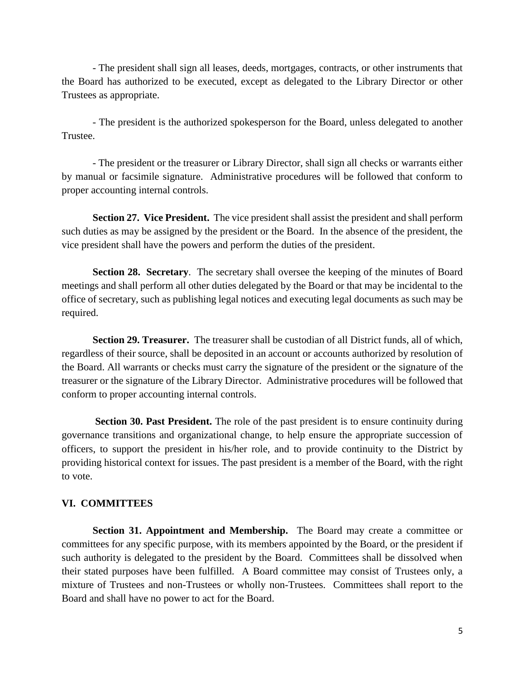- The president shall sign all leases, deeds, mortgages, contracts, or other instruments that the Board has authorized to be executed, except as delegated to the Library Director or other Trustees as appropriate.

- The president is the authorized spokesperson for the Board, unless delegated to another Trustee.

- The president or the treasurer or Library Director, shall sign all checks or warrants either by manual or facsimile signature. Administrative procedures will be followed that conform to proper accounting internal controls.

**Section 27. Vice President.** The vice president shall assist the president and shall perform such duties as may be assigned by the president or the Board. In the absence of the president, the vice president shall have the powers and perform the duties of the president.

**Section 28. Secretary.** The secretary shall oversee the keeping of the minutes of Board meetings and shall perform all other duties delegated by the Board or that may be incidental to the office of secretary, such as publishing legal notices and executing legal documents as such may be required.

**Section 29. Treasurer.** The treasurer shall be custodian of all District funds, all of which, regardless of their source, shall be deposited in an account or accounts authorized by resolution of the Board. All warrants or checks must carry the signature of the president or the signature of the treasurer or the signature of the Library Director. Administrative procedures will be followed that conform to proper accounting internal controls.

 **Section 30. Past President.** The role of the past president is to ensure continuity during governance transitions and organizational change, to help ensure the appropriate succession of officers, to support the president in his/her role, and to provide continuity to the District by providing historical context for issues. The past president is a member of the Board, with the right to vote.

### **VI. COMMITTEES**

**Section 31. Appointment and Membership.** The Board may create a committee or committees for any specific purpose, with its members appointed by the Board, or the president if such authority is delegated to the president by the Board. Committees shall be dissolved when their stated purposes have been fulfilled. A Board committee may consist of Trustees only, a mixture of Trustees and non-Trustees or wholly non-Trustees. Committees shall report to the Board and shall have no power to act for the Board.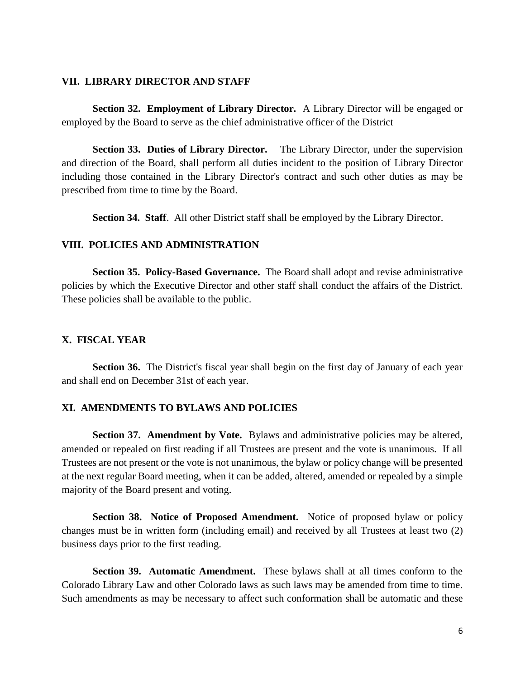#### **VII. LIBRARY DIRECTOR AND STAFF**

**Section 32. Employment of Library Director.** A Library Director will be engaged or employed by the Board to serve as the chief administrative officer of the District

**Section 33. Duties of Library Director.** The Library Director, under the supervision and direction of the Board, shall perform all duties incident to the position of Library Director including those contained in the Library Director's contract and such other duties as may be prescribed from time to time by the Board.

**Section 34. Staff.** All other District staff shall be employed by the Library Director.

### **VIII. POLICIES AND ADMINISTRATION**

**Section 35. Policy-Based Governance.** The Board shall adopt and revise administrative policies by which the Executive Director and other staff shall conduct the affairs of the District. These policies shall be available to the public.

# **X. FISCAL YEAR**

Section 36. The District's fiscal year shall begin on the first day of January of each year and shall end on December 31st of each year.

#### **XI. AMENDMENTS TO BYLAWS AND POLICIES**

**Section 37. Amendment by Vote.** Bylaws and administrative policies may be altered, amended or repealed on first reading if all Trustees are present and the vote is unanimous. If all Trustees are not present or the vote is not unanimous, the bylaw or policy change will be presented at the next regular Board meeting, when it can be added, altered, amended or repealed by a simple majority of the Board present and voting.

**Section 38. Notice of Proposed Amendment.** Notice of proposed bylaw or policy changes must be in written form (including email) and received by all Trustees at least two (2) business days prior to the first reading.

**Section 39. Automatic Amendment.** These bylaws shall at all times conform to the Colorado Library Law and other Colorado laws as such laws may be amended from time to time. Such amendments as may be necessary to affect such conformation shall be automatic and these